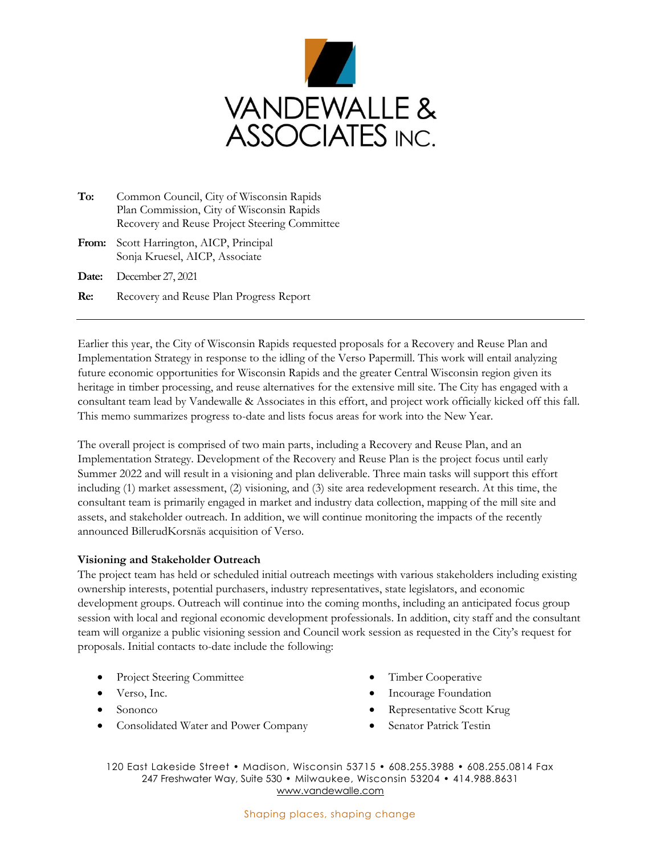

- **To:** Common Council, City of Wisconsin Rapids Plan Commission, City of Wisconsin Rapids Recovery and Reuse Project Steering Committee
- **From:** Scott Harrington, AICP, Principal Sonja Kruesel, AICP, Associate
- **Date:** December 27, 2021
- **Re:** Recovery and Reuse Plan Progress Report

Earlier this year, the City of Wisconsin Rapids requested proposals for a Recovery and Reuse Plan and Implementation Strategy in response to the idling of the Verso Papermill. This work will entail analyzing future economic opportunities for Wisconsin Rapids and the greater Central Wisconsin region given its heritage in timber processing, and reuse alternatives for the extensive mill site. The City has engaged with a consultant team lead by Vandewalle & Associates in this effort, and project work officially kicked off this fall. This memo summarizes progress to-date and lists focus areas for work into the New Year.

The overall project is comprised of two main parts, including a Recovery and Reuse Plan, and an Implementation Strategy. Development of the Recovery and Reuse Plan is the project focus until early Summer 2022 and will result in a visioning and plan deliverable. Three main tasks will support this effort including (1) market assessment, (2) visioning, and (3) site area redevelopment research. At this time, the consultant team is primarily engaged in market and industry data collection, mapping of the mill site and assets, and stakeholder outreach. In addition, we will continue monitoring the impacts of the recently announced BillerudKorsnäs acquisition of Verso.

## **Visioning and Stakeholder Outreach**

The project team has held or scheduled initial outreach meetings with various stakeholders including existing ownership interests, potential purchasers, industry representatives, state legislators, and economic development groups. Outreach will continue into the coming months, including an anticipated focus group session with local and regional economic development professionals. In addition, city staff and the consultant team will organize a public visioning session and Council work session as requested in the City's request for proposals. Initial contacts to-date include the following:

- **Project Steering Committee**
- Verso, Inc.
- Sononco
- Consolidated Water and Power Company
- Timber Cooperative
- Incourage Foundation
- Representative Scott Krug
- Senator Patrick Testin

120 East Lakeside Street • Madison, Wisconsin 53715 • 608.255.3988 • 608.255.0814 Fax 247 Freshwater Way, Suite 530 • Milwaukee, Wisconsin 53204 • 414.988.8631 [www.vandewalle.com](http://www.vandewalle.com/)

## Shaping places, shaping change